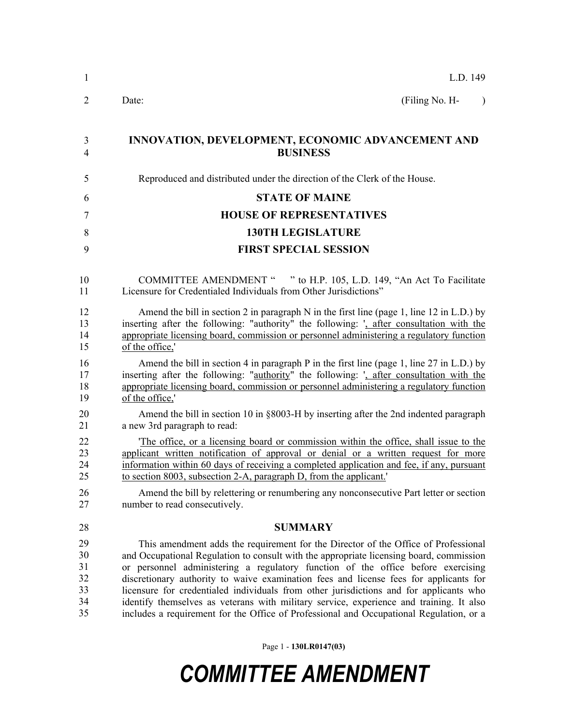| 1              | L.D. 149                                                                                    |
|----------------|---------------------------------------------------------------------------------------------|
| $\overline{2}$ | Date:<br>(Filing No. H-                                                                     |
| 3              | INNOVATION, DEVELOPMENT, ECONOMIC ADVANCEMENT AND                                           |
| 4              | <b>BUSINESS</b>                                                                             |
| 5              | Reproduced and distributed under the direction of the Clerk of the House.                   |
| 6              | <b>STATE OF MAINE</b>                                                                       |
| 7              | <b>HOUSE OF REPRESENTATIVES</b>                                                             |
| 8              | <b>130TH LEGISLATURE</b>                                                                    |
| 9              | <b>FIRST SPECIAL SESSION</b>                                                                |
| 10             | COMMITTEE AMENDMENT " " to H.P. 105, L.D. 149, "An Act To Facilitate                        |
| 11             | Licensure for Credentialed Individuals from Other Jurisdictions"                            |
| 12             | Amend the bill in section 2 in paragraph $N$ in the first line (page 1, line 12 in L.D.) by |
| 13             | inserting after the following: "authority" the following: ', after consultation with the    |
| 14             | appropriate licensing board, commission or personnel administering a regulatory function    |
| 15             | of the office,'                                                                             |
| 16             | Amend the bill in section 4 in paragraph P in the first line (page 1, line 27 in L.D.) by   |
| 17             | inserting after the following: "authority" the following: ', after consultation with the    |
| 18             | appropriate licensing board, commission or personnel administering a regulatory function    |
| 19             | of the office,'                                                                             |
| 20             | Amend the bill in section 10 in §8003-H by inserting after the 2nd indented paragraph       |
| 21             | a new 3rd paragraph to read:                                                                |
| 22             | The office, or a licensing board or commission within the office, shall issue to the        |
| 23             | applicant written notification of approval or denial or a written request for more          |
| 24             | information within 60 days of receiving a completed application and fee, if any, pursuant   |
| 25             | to section 8003, subsection 2-A, paragraph D, from the applicant.'                          |
| 26             | Amend the bill by relettering or renumbering any nonconsecutive Part letter or section      |
| 27             | number to read consecutively.                                                               |
| 28             | <b>SUMMARY</b>                                                                              |
| 29             | This amendment adds the requirement for the Director of the Office of Professional          |
| 30             | and Occupational Regulation to consult with the appropriate licensing board, commission     |
| 31             | or personnel administering a regulatory function of the office before exercising            |
| 32             | discretionary authority to waive examination fees and license fees for applicants for       |
| 33             | licensure for credentialed individuals from other jurisdictions and for applicants who      |
| 34             | identify themselves as veterans with military service, experience and training. It also     |
| 35             | includes a requirement for the Office of Professional and Occupational Regulation, or a     |

Page 1 - **130LR0147(03)**

## *COMMITTEE AMENDMENT*